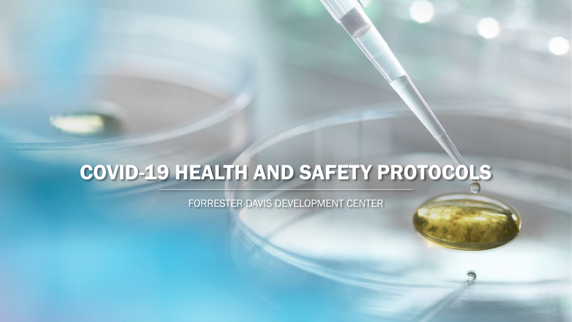## COVID-19 HEALTH AND SAFETY PROTOCOLS

FORRESTER-DAVIS DEVELOPMENT CENTER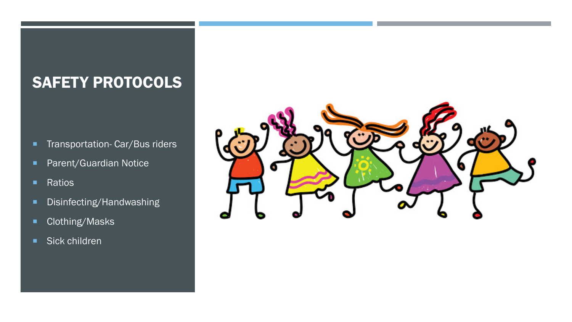## SAFETY PROTOCOLS

- **Transportation- Car/Bus riders**
- **Parent/Guardian Notice**
- **Ratios**
- **Disinfecting/Handwashing**
- Clothing/Masks
- Sick children

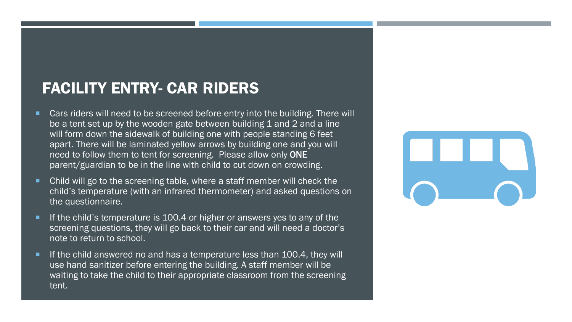## FACILITY ENTRY- CAR RIDERS

- Cars riders will need to be screened before entry into the building. There will be a tent set up by the wooden gate between building 1 and 2 and a line will form down the sidewalk of building one with people standing 6 feet apart. There will be laminated yellow arrows by building one and you will need to follow them to tent for screening. Please allow only ONE parent/guardian to be in the line with child to cut down on crowding.
- Child will go to the screening table, where a staff member will check the child's temperature (with an infrared thermometer) and asked questions on the questionnaire.
- If the child's temperature is 100.4 or higher or answers yes to any of the screening questions, they will go back to their car and will need a doctor's note to return to school.
- If the child answered no and has a temperature less than 100.4, they will use hand sanitizer before entering the building. A staff member will be waiting to take the child to their appropriate classroom from the screening tent.

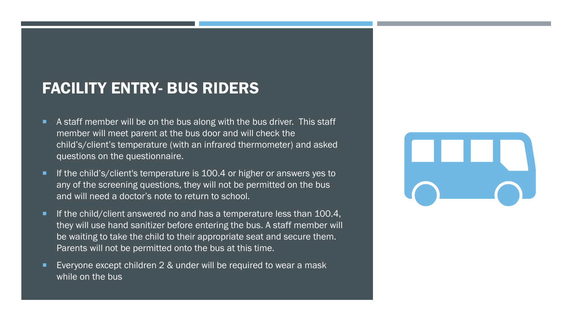## FACILITY ENTRY- BUS RIDERS

- A staff member will be on the bus along with the bus driver. This staff member will meet parent at the bus door and will check the child's/client's temperature (with an infrared thermometer) and asked questions on the questionnaire.
- If the child's/client's temperature is 100.4 or higher or answers yes to any of the screening questions, they will not be permitted on the bus and will need a doctor's note to return to school.
- If the child/client answered no and has a temperature less than 100.4, they will use hand sanitizer before entering the bus. A staff member will be waiting to take the child to their appropriate seat and secure them. Parents will not be permitted onto the bus at this time.
- Everyone except children 2 & under will be required to wear a mask while on the bus

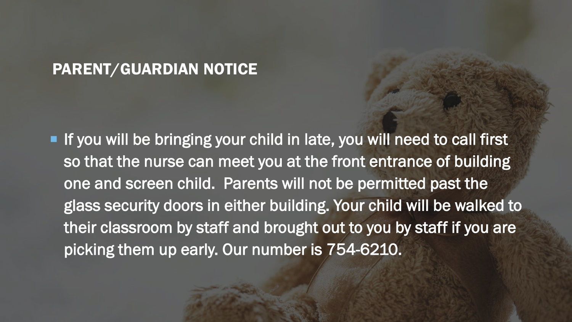## PARENT/GUARDIAN NOTICE

If you will be bringing your child in late, you will need to call first so that the nurse can meet you at the front entrance of building one and screen child. Parents will not be permitted past the glass security doors in either building. Your child will be walked to their classroom by staff and brought out to you by staff if you are picking them up early. Our number is 754-6210.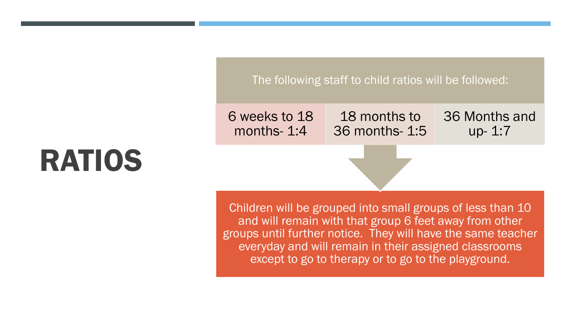#### The following staff to child ratios will be followed:

6 weeks to 18 months- 1:4

18 months to 36 months- 1:5 36 Months and up- 1:7

Children will be grouped into small groups of less than 10 and will remain with that group 6 feet away from other groups until further notice. They will have the same teacher everyday and will remain in their assigned classrooms except to go to therapy or to go to the playground.

# RATIOS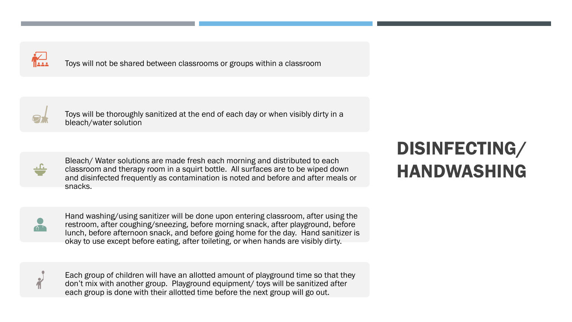

Toys will not be shared between classrooms or groups within a classroom



Toys will be thoroughly sanitized at the end of each day or when visibly dirty in a bleach/water solution



Bleach/ Water solutions are made fresh each morning and distributed to each classroom and therapy room in a squirt bottle. All surfaces are to be wiped down and disinfected frequently as contamination is noted and before and after meals or snacks.

Hand washing/using sanitizer will be done upon entering classroom, after using the restroom, after coughing/sneezing, before morning snack, after playground, before lunch, before afternoon snack, and before going home for the day. Hand sanitizer is okay to use except before eating, after toileting, or when hands are visibly dirty.

Each group of children will have an allotted amount of playground time so that they don't mix with another group. Playground equipment/ toys will be sanitized after each group is done with their allotted time before the next group will go out.

## DISINFECTING/ HANDWASHING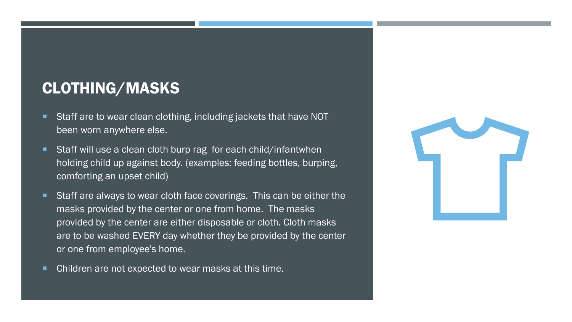## CLOTHING/MASKS

- Staff are to wear clean clothing, including jackets that have NOT been worn anywhere else.
- Staff will use a clean cloth burp rag for each child/infantwhen holding child up against body. (examples: feeding bottles, burping, comforting an upset child)
- Staff are always to wear cloth face coverings. This can be either the masks provided by the center or one from home. The masks provided by the center are either disposable or cloth. Cloth masks are to be washed EVERY day whether they be provided by the center or one from employee's home.
- **Children are not expected to wear masks at this time.**